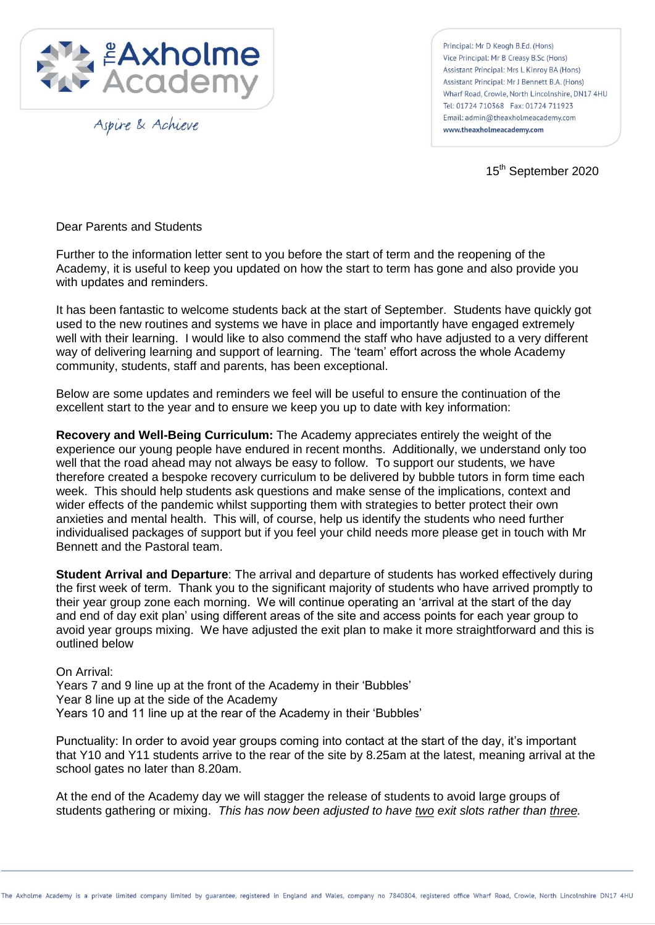

Aspire & Achieve

Principal: Mr D Keogh B.Ed. (Hons) Vice Principal: Mr B Creasy B.Sc (Hons) Assistant Principal: Mrs L Kinroy BA (Hons) Assistant Principal: Mr J Bennett B.A. (Hons) Wharf Road Crowle North Lincolnshire DN17 4HU Tel: 01724 710368 Fax: 01724 711923 Email: admin@theaxholmeacademy.com www.theaxholmeacademy.com

15<sup>th</sup> September 2020

Dear Parents and Students

Further to the information letter sent to you before the start of term and the reopening of the Academy, it is useful to keep you updated on how the start to term has gone and also provide you with updates and reminders.

It has been fantastic to welcome students back at the start of September. Students have quickly got used to the new routines and systems we have in place and importantly have engaged extremely well with their learning. I would like to also commend the staff who have adjusted to a very different way of delivering learning and support of learning. The 'team' effort across the whole Academy community, students, staff and parents, has been exceptional.

Below are some updates and reminders we feel will be useful to ensure the continuation of the excellent start to the year and to ensure we keep you up to date with key information:

**Recovery and Well-Being Curriculum:** The Academy appreciates entirely the weight of the experience our young people have endured in recent months. Additionally, we understand only too well that the road ahead may not always be easy to follow. To support our students, we have therefore created a bespoke recovery curriculum to be delivered by bubble tutors in form time each week. This should help students ask questions and make sense of the implications, context and wider effects of the pandemic whilst supporting them with strategies to better protect their own anxieties and mental health. This will, of course, help us identify the students who need further individualised packages of support but if you feel your child needs more please get in touch with Mr Bennett and the Pastoral team.

**Student Arrival and Departure**: The arrival and departure of students has worked effectively during the first week of term. Thank you to the significant majority of students who have arrived promptly to their year group zone each morning. We will continue operating an 'arrival at the start of the day and end of day exit plan' using different areas of the site and access points for each year group to avoid year groups mixing. We have adjusted the exit plan to make it more straightforward and this is outlined below

On Arrival:

Years 7 and 9 line up at the front of the Academy in their 'Bubbles' Year 8 line up at the side of the Academy Years 10 and 11 line up at the rear of the Academy in their 'Bubbles'

Punctuality: In order to avoid year groups coming into contact at the start of the day, it's important that Y10 and Y11 students arrive to the rear of the site by 8.25am at the latest, meaning arrival at the school gates no later than 8.20am.

At the end of the Academy day we will stagger the release of students to avoid large groups of students gathering or mixing. *This has now been adjusted to have two exit slots rather than three.*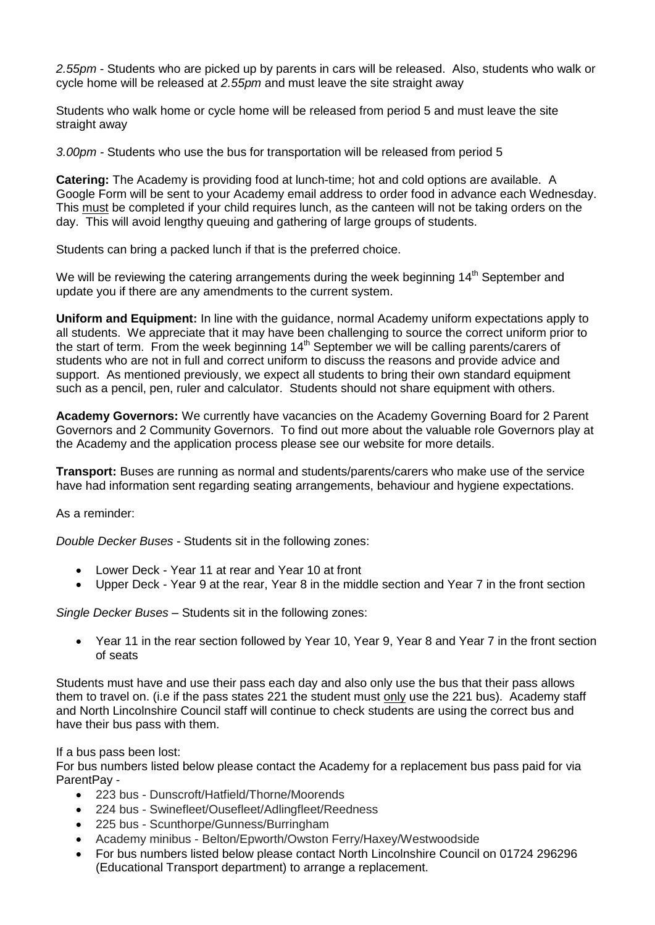*2.55pm* - Students who are picked up by parents in cars will be released. Also, students who walk or cycle home will be released at *2.55pm* and must leave the site straight away

Students who walk home or cycle home will be released from period 5 and must leave the site straight away

*3.00pm -* Students who use the bus for transportation will be released from period 5

**Catering:** The Academy is providing food at lunch-time; hot and cold options are available. A Google Form will be sent to your Academy email address to order food in advance each Wednesday. This must be completed if your child requires lunch, as the canteen will not be taking orders on the day. This will avoid lengthy queuing and gathering of large groups of students.

Students can bring a packed lunch if that is the preferred choice.

We will be reviewing the catering arrangements during the week beginning  $14<sup>th</sup>$  September and update you if there are any amendments to the current system.

**Uniform and Equipment:** In line with the guidance, normal Academy uniform expectations apply to all students. We appreciate that it may have been challenging to source the correct uniform prior to the start of term. From the week beginning  $14<sup>th</sup>$  September we will be calling parents/carers of students who are not in full and correct uniform to discuss the reasons and provide advice and support. As mentioned previously, we expect all students to bring their own standard equipment such as a pencil, pen, ruler and calculator. Students should not share equipment with others.

**Academy Governors:** We currently have vacancies on the Academy Governing Board for 2 Parent Governors and 2 Community Governors. To find out more about the valuable role Governors play at the Academy and the application process please see our website for more details.

**Transport:** Buses are running as normal and students/parents/carers who make use of the service have had information sent regarding seating arrangements, behaviour and hygiene expectations.

As a reminder:

*Double Decker Buses* - Students sit in the following zones:

- Lower Deck Year 11 at rear and Year 10 at front
- Upper Deck Year 9 at the rear, Year 8 in the middle section and Year 7 in the front section

*Single Decker Buses –* Students sit in the following zones:

 Year 11 in the rear section followed by Year 10, Year 9, Year 8 and Year 7 in the front section of seats

Students must have and use their pass each day and also only use the bus that their pass allows them to travel on. (i.e if the pass states 221 the student must only use the 221 bus). Academy staff and North Lincolnshire Council staff will continue to check students are using the correct bus and have their bus pass with them.

If a bus pass been lost:

For bus numbers listed below please contact the Academy for a replacement bus pass paid for via ParentPay -

- 223 bus Dunscroft/Hatfield/Thorne/Moorends
- 224 bus Swinefleet/Ousefleet/Adlingfleet/Reedness
- 225 bus Scunthorpe/Gunness/Burringham
- Academy minibus Belton/Epworth/Owston Ferry/Haxey/Westwoodside
- For bus numbers listed below please contact North Lincolnshire Council on 01724 296296 (Educational Transport department) to arrange a replacement.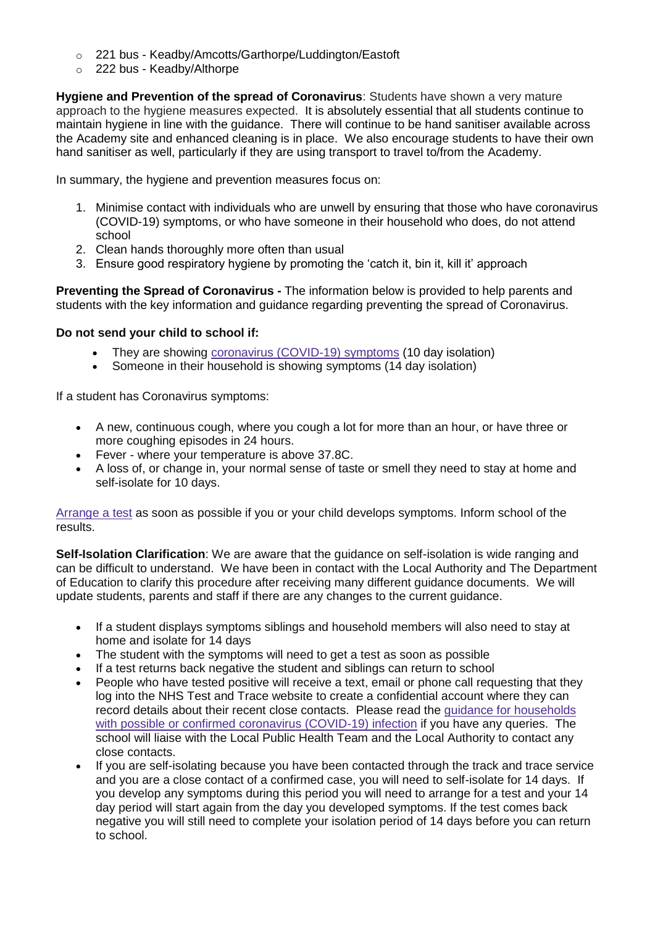- o 221 bus Keadby/Amcotts/Garthorpe/Luddington/Eastoft
- o 222 bus Keadby/Althorpe

**Hygiene and Prevention of the spread of Coronavirus**: Students have shown a very mature approach to the hygiene measures expected. It is absolutely essential that all students continue to maintain hygiene in line with the guidance. There will continue to be hand sanitiser available across the Academy site and enhanced cleaning is in place. We also encourage students to have their own hand sanitiser as well, particularly if they are using transport to travel to/from the Academy.

In summary, the hygiene and prevention measures focus on:

- 1. Minimise contact with individuals who are unwell by ensuring that those who have coronavirus (COVID-19) symptoms, or who have someone in their household who does, do not attend school
- 2. Clean hands thoroughly more often than usual
- 3. Ensure good respiratory hygiene by promoting the 'catch it, bin it, kill it' approach

**Preventing the Spread of Coronavirus -** The information below is provided to help parents and students with the key information and guidance regarding preventing the spread of Coronavirus.

## **Do not send your child to school if:**

- They are showing [coronavirus \(COVID-19\) symptoms](https://www.nhs.uk/conditions/coronavirus-covid-19/symptoms/) (10 day isolation)
- Someone in their household is showing symptoms (14 day isolation)

If a student has Coronavirus symptoms:

- A new, continuous cough, where you cough a lot for more than an hour, or have three or more coughing episodes in 24 hours.
- Fever where your temperature is above 37.8C.
- A loss of, or change in, your normal sense of taste or smell they need to stay at home and self-isolate for 10 days.

[Arrange a test](https://www.nhs.uk/conditions/coronavirus-covid-19/testing-and-tracing/) as soon as possible if you or your child develops symptoms. Inform school of the results.

**Self-Isolation Clarification**: We are aware that the guidance on self-isolation is wide ranging and can be difficult to understand. We have been in contact with the Local Authority and The Department of Education to clarify this procedure after receiving many different guidance documents. We will update students, parents and staff if there are any changes to the current guidance.

- If a student displays symptoms siblings and household members will also need to stay at home and isolate for 14 days
- The student with the symptoms will need to get a test as soon as possible
- If a test returns back negative the student and siblings can return to school
- People who have tested positive will receive a text, email or phone call requesting that they log into the NHS Test and Trace website to create a confidential account where they can record details about their recent close contacts. Please read the [guidance for households](https://www.gov.uk/government/publications/covid-19-stay-at-home-guidance)  [with possible or confirmed coronavirus \(COVID-19\) infection](https://www.gov.uk/government/publications/covid-19-stay-at-home-guidance) if you have any queries. The school will liaise with the Local Public Health Team and the Local Authority to contact any close contacts.
- If you are self-isolating because you have been contacted through the track and trace service and you are a close contact of a confirmed case, you will need to self-isolate for 14 days. If you develop any symptoms during this period you will need to arrange for a test and your 14 day period will start again from the day you developed symptoms. If the test comes back negative you will still need to complete your isolation period of 14 days before you can return to school.